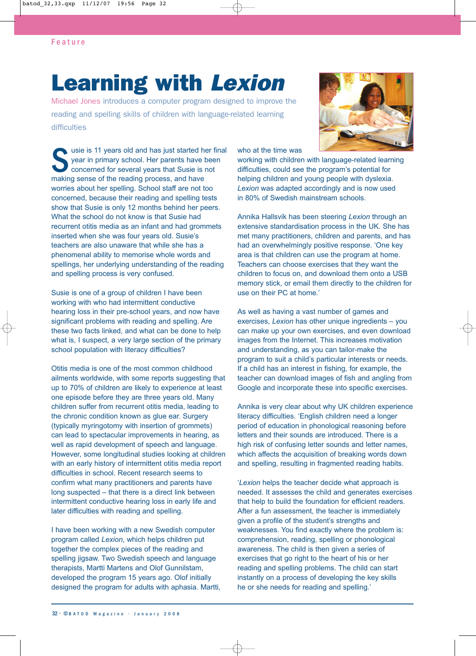## **Learning with Lexion**

Michael Jones introduces a computer program designed to improve the reading and spelling skills of children with language-related learning difficulties



usie is 11 years old and has just started her final year in primary school. Her parents have been concerned for several years that Susie is not making sense of the reading process, and have worries about her spelling. School staff are not too concerned, because their reading and spelling tests show that Susie is only 12 months behind her peers. What the school do not know is that Susie had recurrent otitis media as an infant and had grommets inserted when she was four years old. Susie's teachers are also unaware that while she has a phenomenal ability to memorise whole words and spellings, her underlying understanding of the reading and spelling process is very confused.

Susie is one of a group of children I have been working with who had intermittent conductive hearing loss in their pre-school years, and now have significant problems with reading and spelling. Are these two facts linked, and what can be done to help what is, I suspect, a very large section of the primary school population with literacy difficulties?

Otitis media is one of the most common childhood ailments worldwide, with some reports suggesting that up to 70% of children are likely to experience at least one episode before they are three years old. Many children suffer from recurrent otitis media, leading to the chronic condition known as glue ear. Surgery (typically myringotomy with insertion of grommets) can lead to spectacular improvements in hearing, as well as rapid development of speech and language. However, some longitudinal studies looking at children with an early history of intermittent otitis media report difficulties in school. Recent research seems to confirm what many practitioners and parents have long suspected – that there is a direct link between intermittent conductive hearing loss in early life and later difficulties with reading and spelling.

I have been working with a new Swedish computer program called *Lexion*, which helps children put together the complex pieces of the reading and spelling jigsaw. Two Swedish speech and language therapists, Martti Martens and Olof Gunnilstam, developed the program 15 years ago. Olof initially designed the program for adults with aphasia. Martti, who at the time was

working with children with language-related learning difficulties, could see the program's potential for helping children and young people with dyslexia. *Lexion* was adapted accordingly and is now used in 80% of Swedish mainstream schools.

Annika Hallsvik has been steering *Lexion* through an extensive standardisation process in the UK. She has met many practitioners, children and parents, and has had an overwhelmingly positive response. 'One key area is that children can use the program at home. Teachers can choose exercises that they want the children to focus on, and download them onto a USB memory stick, or email them directly to the children for use on their PC at home.'

As well as having a vast number of games and exercises, *Lexion* has other unique ingredients – you can make up your own exercises, and even download images from the Internet. This increases motivation and understanding, as you can tailor-make the program to suit a child's particular interests or needs. If a child has an interest in fishing, for example, the teacher can download images of fish and angling from Google and incorporate these into specific exercises.

Annika is very clear about why UK children experience literacy difficulties. 'English children need a longer period of education in phonological reasoning before letters and their sounds are introduced. There is a high risk of confusing letter sounds and letter names, which affects the acquisition of breaking words down and spelling, resulting in fragmented reading habits.

'*Lexion* helps the teacher decide what approach is needed. It assesses the child and generates exercises that help to build the foundation for efficient readers. After a fun assessment, the teacher is immediately given a profile of the student's strengths and weaknesses. You find exactly where the problem is: comprehension, reading, spelling or phonological awareness. The child is then given a series of exercises that go right to the heart of his or her reading and spelling problems. The child can start instantly on a process of developing the key skills he or she needs for reading and spelling.'